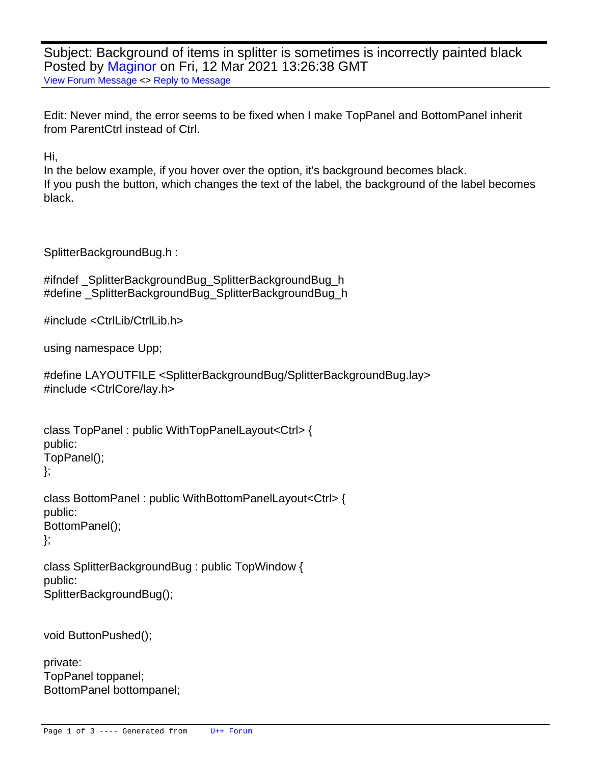Subject: Background of items in splitter is sometimes is incorrectly painted black Posted by [Maginor](https://www.ultimatepp.org/forums/index.php?t=usrinfo&id=34444) on Fri, 12 Mar 2021 13:26:38 GMT [View Forum Message](https://www.ultimatepp.org/forums/index.php?t=rview&th=11443&goto=56445#msg_56445) <> [Reply to Message](https://www.ultimatepp.org/forums/index.php?t=post&reply_to=56445)

Edit: Never mind, the error seems to be fixed when I make TopPanel and BottomPanel inherit from ParentCtrl instead of Ctrl.

Hi,

In the below example, if you hover over the option, it's background becomes black. If you push the button, which changes the text of the label, the background of the label becomes black.

SplitterBackgroundBug.h :

```
#ifndef _SplitterBackgroundBug_SplitterBackgroundBug_h
#define _SplitterBackgroundBug_SplitterBackgroundBug_h
```
#include <CtrlLib/CtrlLib.h>

using namespace Upp;

```
#define LAYOUTFILE <SplitterBackgroundBug/SplitterBackgroundBug.lay>
#include <CtrlCore/lay.h>
```

```
class TopPanel : public WithTopPanelLayout<Ctrl> {
public:
	TopPanel();
};
class BottomPanel : public WithBottomPanelLayout<Ctrl> {
public:
	BottomPanel();
```
};

```
class SplitterBackgroundBug : public TopWindow {
public:
	SplitterBackgroundBug();
```
 void ButtonPushed();

```
private:
	TopPanel toppanel;
	BottomPanel bottompanel;
```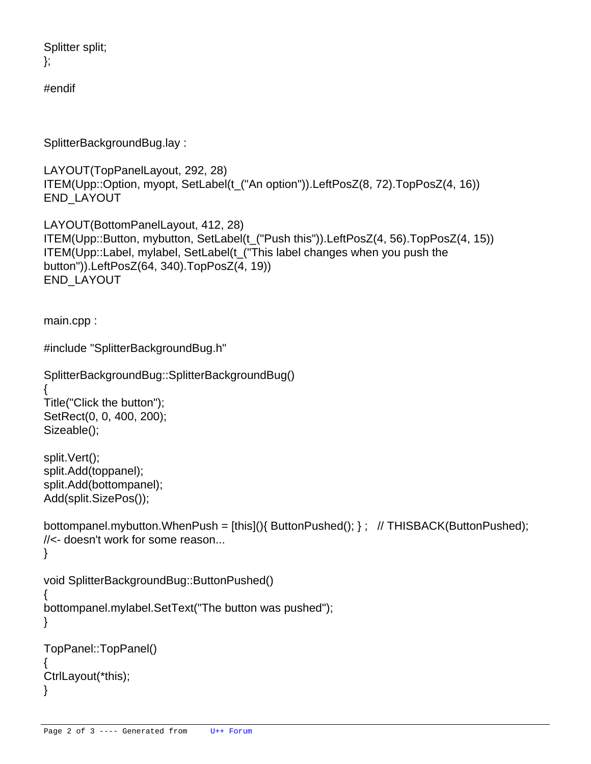Splitter split; };

#endif

SplitterBackgroundBug.lay :

```
LAYOUT(TopPanelLayout, 292, 28)
	ITEM(Upp::Option, myopt, SetLabel(t_("An option")).LeftPosZ(8, 72).TopPosZ(4, 16))
END_LAYOUT
```
LAYOUT(BottomPanelLayout, 412, 28) ITEM(Upp::Button, mybutton, SetLabel(t\_("Push this")).LeftPosZ(4, 56).TopPosZ(4, 15)) ITEM(Upp::Label, mylabel, SetLabel(t\_("This label changes when you push the button")).LeftPosZ(64, 340).TopPosZ(4, 19)) END\_LAYOUT

main.cpp :

```
#include "SplitterBackgroundBug.h"
```

```
SplitterBackgroundBug::SplitterBackgroundBug()
```
{ Title("Click the button"); SetRect(0, 0, 400, 200); Sizeable();

 split.Vert(); split.Add(toppanel); split.Add(bottompanel); Add(split.SizePos());

```
bottompanel.mybutton.WhenPush = [this](} ButtonPushed(); \}; // THISBACK(ButtonPushed);
//<- doesn't work for some reason...
}
```

```
void SplitterBackgroundBug::ButtonPushed()
{
```

```
	bottompanel.mylabel.SetText("The button was pushed");
```

```
}
```

```
TopPanel::TopPanel()
{
	CtrlLayout(*this);
}
```